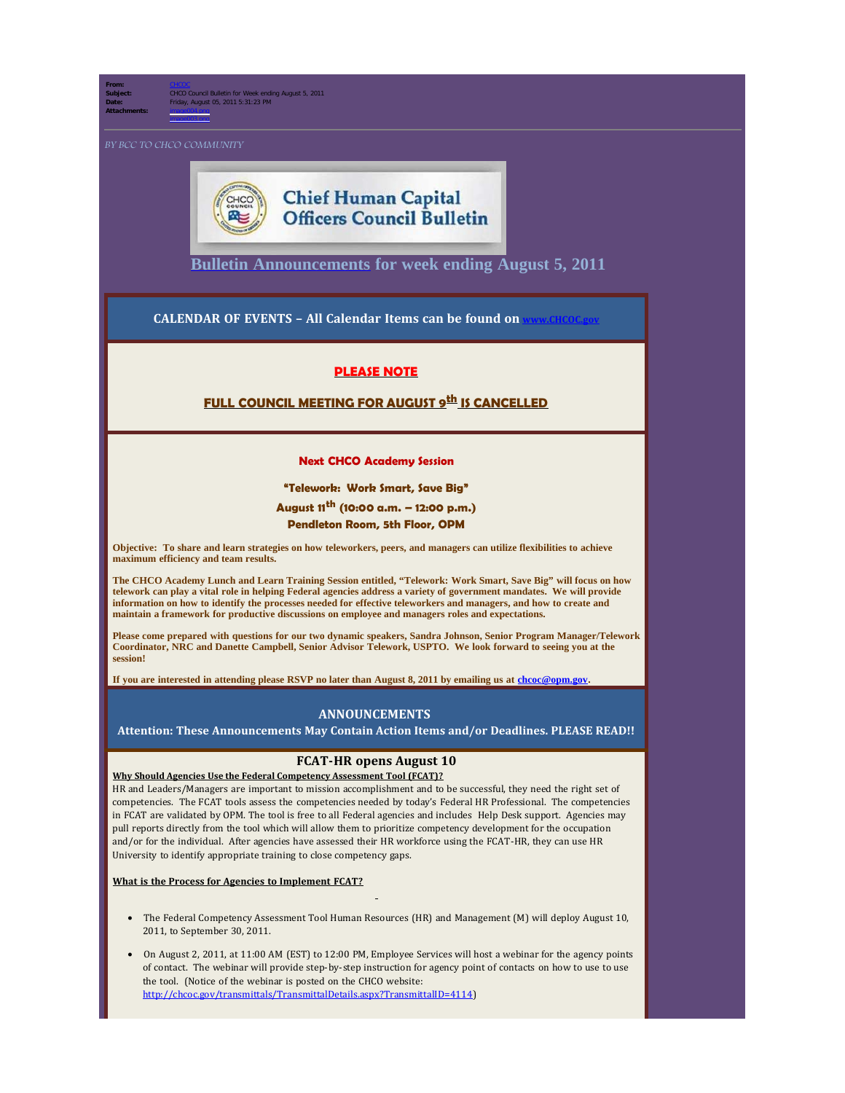**From:** [CHCOC](mailto:/O=OPM/OU=EXCHANGE ADMINISTRATIVE GROUP (FYDIBOHF23SPDLT)/CN=RECIPIENTS/CN=CHCOC) **Subject:** CHCO Council Bulletin for Week ending August 5, 2011 **Date:** Friday, August 05, 2011 5:31:23 PM **Attachments:** image004.png

image003.png



# **Chief Human Capital Officers Council Bulletin**

**[Bulletin Announcements](http://chcoc.gov/Transmittals/Index.aspx) for week ending August 5, 2011** 

**CALENDAR OF EVENTS - All Calendar Items can be found on** 

## **PLEASE NOTE**

## **FULL COUNCIL MEETING FOR AUGUST 9th IS CANCELLED**

#### **Next CHCO Academy Session**

#### **"Telework: Work Smart, Save Big"**

## **August 11th (10:00 a.m. – 12:00 p.m.) Pendleton Room, 5th Floor, OPM**

**Objective: To share and learn strategies on how teleworkers, peers, and managers can utilize flexibilities to achieve maximum efficiency and team results.**

**The CHCO Academy Lunch and Learn Training Session entitled, "Telework: Work Smart, Save Big" will focus on how telework can play a vital role in helping Federal agencies address a variety of government mandates. We will provide information on how to identify the processes needed for effective teleworkers and managers, and how to create and maintain a framework for productive discussions on employee and managers roles and expectations.**

**Please come prepared with questions for our two dynamic speakers, Sandra Johnson, Senior Program Manager/Telework Coordinator, NRC and Danette Campbell, Senior Advisor Telework, USPTO. We look forward to seeing you at the session!**

**If you are interested in attending please RSVP no later than August 8, 2011 by emailing us at [chcoc@opm.gov](mailto:chcoc@opm.gov).**

## **ANNOUNCEMENTS**

**Attention: These Announcements May Contain Action Items and/or Deadlines. PLEASE READ!!**

### **FCAT-HR opens August 10**

**Why Should Agencies Use the Federal Competency Assessment Tool (FCAT)?**  HR and Leaders/Managers are important to mission accomplishment and to be successful, they need the right set of

competencies. The FCAT tools assess the competencies needed by today's Federal HR Professional. The competencies in FCAT are validated by OPM. The tool is free to all Federal agencies and includes Help Desk support. Agencies may pull reports directly from the tool which will allow them to prioritize competency development for the occupation and/or for the individual. After agencies have assessed their HR workforce using the FCAT-HR, they can use HR University to identify appropriate training to close competency gaps.

### **What is the Process for Agencies to Implement FCAT?**

- · The Federal Competency Assessment Tool Human Resources (HR) and Management (M) will deploy August 10, 2011, to September 30, 2011.
- · On August 2, 2011, at 11:00 AM (EST) to 12:00 PM, Employee Services will host a webinar for the agency points of contact. The webinar will provide step-by-step instruction for agency point of contacts on how to use to use the tool. (Notice of the webinar is posted on the CHCO website: [http://chcoc.gov/transmittals/TransmittalDetails.aspx?TransmittalID=4114\)](http://chcoc.gov/transmittals/TransmittalDetails.aspx?TransmittalID=4114)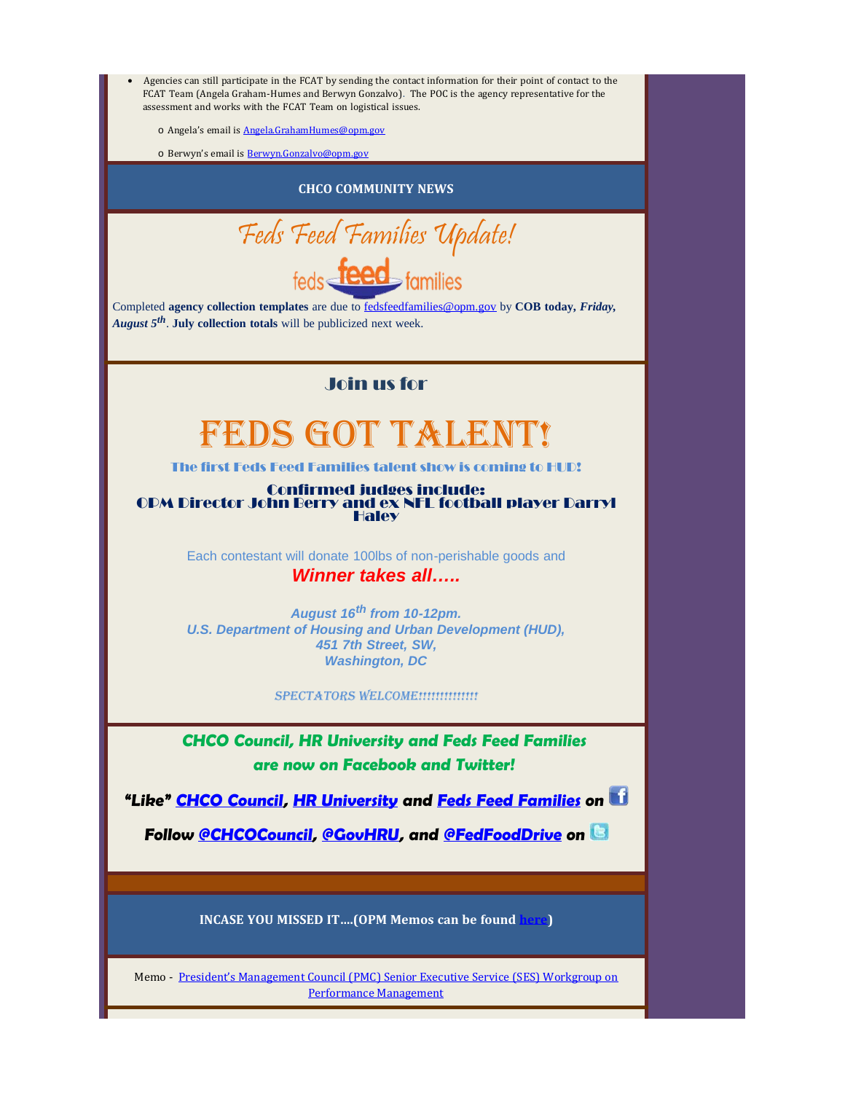